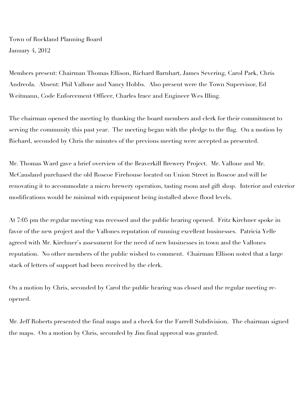Town of Rockland Planning Board January 4, 2012

Members present: Chairman Thomas Ellison, Richard Barnhart, James Severing, Carol Park, Chris Andreola. Absent: Phil Vallone and Nancy Hobbs. Also present were the Town Supervisor, Ed Weitmann, Code Enforcement Officer, Charles Irace and Engineer Wes Illing.

The chairman opened the meeting by thanking the board members and clerk for their commitment to serving the community this past year. The meeting began with the pledge to the flag. On a motion by Richard, seconded by Chris the minutes of the previous meeting were accepted as presented.

Mr. Thomas Ward gave a brief overview of the Beaverkill Brewery Project. Mr. Vallone and Mr. McCausland purchased the old Roscoe Firehouse located on Union Street in Roscoe and will be renovating it to accommodate a micro brewery operation, tasting room and gift shop. Interior and exterior modifications would be minimal with equipment being installed above flood levels.

At 7:05 pm the regular meeting was recessed and the public hearing opened. Fritz Kirchner spoke in favor of the new project and the Vallones reputation of running excellent businesses. Patricia Yelle agreed with Mr. Kirchner's assessment for the need of new businesses in town and the Vallones reputation. No other members of the public wished to comment. Chairman Ellison noted that a large stack of letters of support had been received by the clerk.

On a motion by Chris, seconded by Carol the public hearing was closed and the regular meeting reopened.

Mr. Jeff Roberts presented the final maps and a check for the Farrell Subdivision. The chairman signed the maps. On a motion by Chris, seconded by Jim final approval was granted.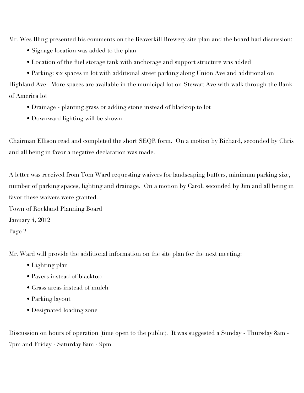Mr. Wes Illing presented his comments on the Beaverkill Brewery site plan and the board had discussion:

- Signage location was added to the plan
- Location of the fuel storage tank with anchorage and support structure was added
- Parking: six spaces in lot with additional street parking along Union Ave and additional on

Highland Ave. More spaces are available in the municipal lot on Stewart Ave with walk through the Bank of America lot

- Drainage planting grass or adding stone instead of blacktop to lot
- Downward lighting will be shown

Chairman Ellison read and completed the short SEQR form. On a motion by Richard, seconded by Chris and all being in favor a negative declaration was made.

A letter was received from Tom Ward requesting waivers for landscaping buffers, minimum parking size, number of parking spaces, lighting and drainage. On a motion by Carol, seconded by Jim and all being in favor these waivers were granted.

Town of Rockland Planning Board January 4, 2012

Page 2

Mr. Ward will provide the additional information on the site plan for the next meeting:

- Lighting plan
- Pavers instead of blacktop
- Grass areas instead of mulch
- Parking layout
- Designated loading zone

Discussion on hours of operation (time open to the public). It was suggested a Sunday - Thursday 8am - 7pm and Friday - Saturday 8am - 9pm.